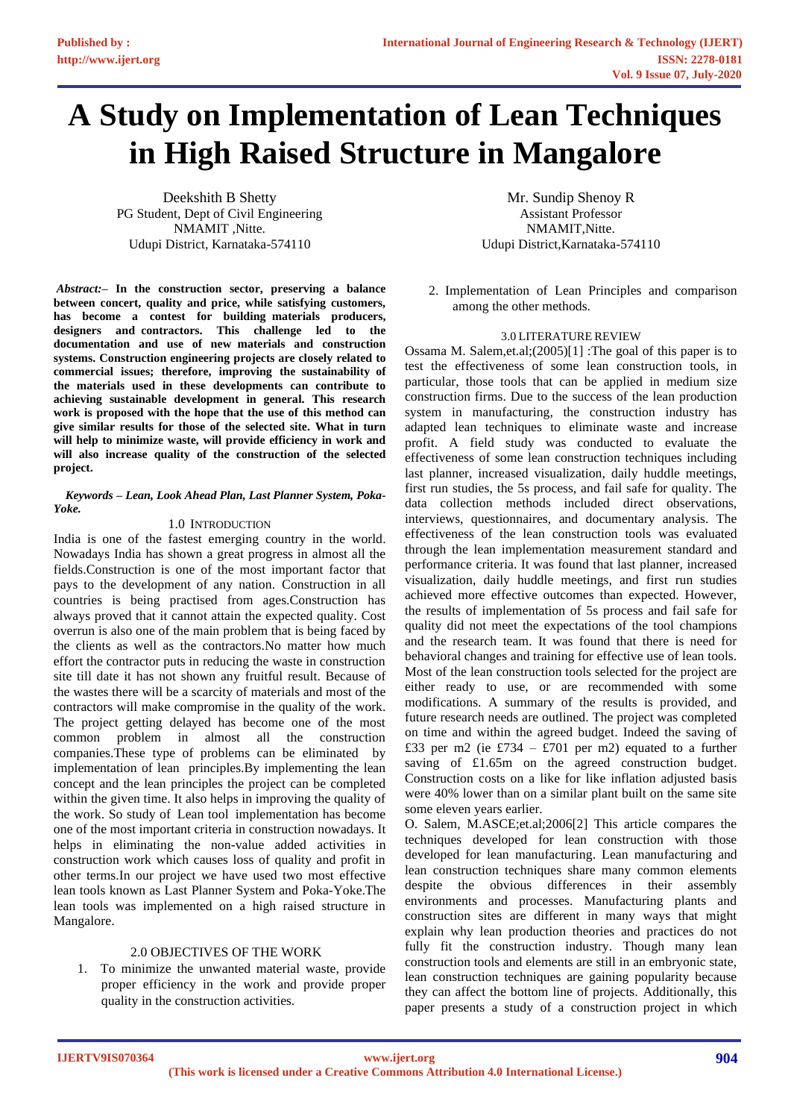# **A Study on Implementation of Lean Techniques in High Raised Structure in Mangalore**

Deekshith B Shetty PG Student, Dept of Civil Engineering NMAMIT ,Nitte. Udupi District, Karnataka-574110

*Abstract:***– In the construction sector, preserving a balance between concert, quality and price, while satisfying customers,**  has become a contest for building materials producers, designers and contractors. This challenge led to the documentation and use of new materials and construction **systems. Construction engineering projects are closely related to**  commercial issues; therefore, improving the sustainability of **the materials used in these developments can contribute to achieving sustainable development in general. This research work is proposed with the hope that the use of this method can give similar results for those of the selected site. What in turn will help to minimize waste, will provide efficiency in work and will also increase quality of the construction of the selected project.**

#### *Keywords – Lean, Look Ahead Plan, Last Planner System, Poka-Yoke.*

#### 1.0 INTRODUCTION

India is one of the fastest emerging country in the world. Nowadays India has shown a great progress in almost all the fields.Construction is one of the most important factor that pays to the development of any nation. Construction in all countries is being practised from ages.Construction has always proved that it cannot attain the expected quality. Cost overrun is also one of the main problem that is being faced by the clients as well as the contractors.No matter how much effort the contractor puts in reducing the waste in construction site till date it has not shown any fruitful result. Because of the wastes there will be a scarcity of materials and most of the contractors will make compromise in the quality of the work. The project getting delayed has become one of the most common problem in almost all the construction companies.These type of problems can be eliminated by implementation of lean principles.By implementing the lean concept and the lean principles the project can be completed within the given time. It also helps in improving the quality of the work. So study of Lean tool implementation has become one of the most important criteria in construction nowadays. It helps in eliminating the non-value added activities in construction work which causes loss of quality and profit in other terms.In our project we have used two most effective lean tools known as Last Planner System and Poka-Yoke.The lean tools was implemented on a high raised structure in Mangalore.

### 2.0 OBJECTIVES OF THE WORK

1. To minimize the unwanted material waste, provide proper efficiency in the work and provide proper quality in the construction activities.

Mr. Sundip Shenoy R Assistant Professor NMAMIT,Nitte. Udupi District,Karnataka-574110

2. Implementation of Lean Principles and comparison among the other methods.

#### 3.0 LITERATURE REVIEW

Ossama M. Salem,et.al;(2005)[1] :The goal of this paper is to test the effectiveness of some lean construction tools, in particular, those tools that can be applied in medium size construction firms. Due to the success of the lean production system in manufacturing, the construction industry has adapted lean techniques to eliminate waste and increase profit. A field study was conducted to evaluate the effectiveness of some lean construction techniques including last planner, increased visualization, daily huddle meetings, first run studies, the 5s process, and fail safe for quality. The data collection methods included direct observations, interviews, questionnaires, and documentary analysis. The effectiveness of the lean construction tools was evaluated through the lean implementation measurement standard and performance criteria. It was found that last planner, increased visualization, daily huddle meetings, and first run studies achieved more effective outcomes than expected. However, the results of implementation of 5s process and fail safe for quality did not meet the expectations of the tool champions and the research team. It was found that there is need for behavioral changes and training for effective use of lean tools. Most of the lean construction tools selected for the project are either ready to use, or are recommended with some modifications. A summary of the results is provided, and future research needs are outlined. The project was completed on time and within the agreed budget. Indeed the saving of £33 per m2 (ie £734 – £701 per m2) equated to a further saving of £1.65m on the agreed construction budget. Construction costs on a like for like inflation adjusted basis were 40% lower than on a similar plant built on the same site some eleven years earlier.

O. Salem, M.ASCE;et.al;2006[2] This article compares the techniques developed for lean construction with those developed for lean manufacturing. Lean manufacturing and lean construction techniques share many common elements despite the obvious differences in their assembly environments and processes. Manufacturing plants and construction sites are different in many ways that might explain why lean production theories and practices do not fully fit the construction industry. Though many lean construction tools and elements are still in an embryonic state, lean construction techniques are gaining popularity because they can affect the bottom line of projects. Additionally, this paper presents a study of a construction project in which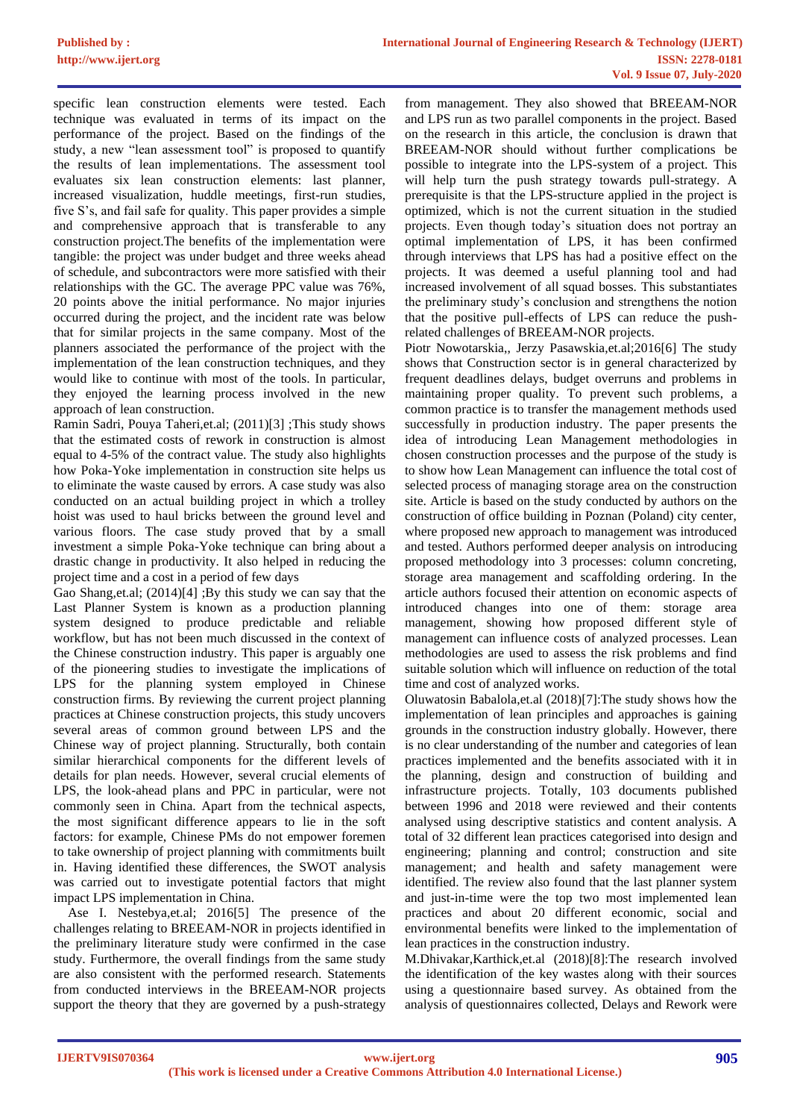specific lean construction elements were tested. Each technique was evaluated in terms of its impact on the performance of the project. Based on the findings of the study, a new "lean assessment tool" is proposed to quantify the results of lean implementations. The assessment tool evaluates six lean construction elements: last planner, increased visualization, huddle meetings, first-run studies, five S's, and fail safe for quality. This paper provides a simple and comprehensive approach that is transferable to any construction project.The benefits of the implementation were tangible: the project was under budget and three weeks ahead of schedule, and subcontractors were more satisfied with their relationships with the GC. The average PPC value was 76%, 20 points above the initial performance. No major injuries occurred during the project, and the incident rate was below that for similar projects in the same company. Most of the planners associated the performance of the project with the implementation of the lean construction techniques, and they would like to continue with most of the tools. In particular, they enjoyed the learning process involved in the new approach of lean construction.

Ramin Sadri, Pouya Taheri,et.al; (2011)[3] ;This study shows that the estimated costs of rework in construction is almost equal to 4-5% of the contract value. The study also highlights how Poka-Yoke implementation in construction site helps us to eliminate the waste caused by errors. A case study was also conducted on an actual building project in which a trolley hoist was used to haul bricks between the ground level and various floors. The case study proved that by a small investment a simple Poka-Yoke technique can bring about a drastic change in productivity. It also helped in reducing the project time and a cost in a period of few days

Gao Shang,et.al; (2014)[4] ;By this study we can say that the Last Planner System is known as a production planning system designed to produce predictable and reliable workflow, but has not been much discussed in the context of the Chinese construction industry. This paper is arguably one of the pioneering studies to investigate the implications of LPS for the planning system employed in Chinese construction firms. By reviewing the current project planning practices at Chinese construction projects, this study uncovers several areas of common ground between LPS and the Chinese way of project planning. Structurally, both contain similar hierarchical components for the different levels of details for plan needs. However, several crucial elements of LPS, the look-ahead plans and PPC in particular, were not commonly seen in China. Apart from the technical aspects, the most significant difference appears to lie in the soft factors: for example, Chinese PMs do not empower foremen to take ownership of project planning with commitments built in. Having identified these differences, the SWOT analysis was carried out to investigate potential factors that might impact LPS implementation in China.

Ase I. Nestebya,et.al; 2016[5] The presence of the challenges relating to BREEAM-NOR in projects identified in the preliminary literature study were confirmed in the case study. Furthermore, the overall findings from the same study are also consistent with the performed research. Statements from conducted interviews in the BREEAM-NOR projects support the theory that they are governed by a push-strategy

from management. They also showed that BREEAM-NOR and LPS run as two parallel components in the project. Based on the research in this article, the conclusion is drawn that BREEAM-NOR should without further complications be possible to integrate into the LPS-system of a project. This will help turn the push strategy towards pull-strategy. A prerequisite is that the LPS-structure applied in the project is optimized, which is not the current situation in the studied projects. Even though today's situation does not portray an optimal implementation of LPS, it has been confirmed through interviews that LPS has had a positive effect on the projects. It was deemed a useful planning tool and had increased involvement of all squad bosses. This substantiates the preliminary study's conclusion and strengthens the notion that the positive pull-effects of LPS can reduce the pushrelated challenges of BREEAM-NOR projects.

Piotr Nowotarskia,, Jerzy Pasawskia,et.al;2016[6] The study shows that Construction sector is in general characterized by frequent deadlines delays, budget overruns and problems in maintaining proper quality. To prevent such problems, a common practice is to transfer the management methods used successfully in production industry. The paper presents the idea of introducing Lean Management methodologies in chosen construction processes and the purpose of the study is to show how Lean Management can influence the total cost of selected process of managing storage area on the construction site. Article is based on the study conducted by authors on the construction of office building in Poznan (Poland) city center, where proposed new approach to management was introduced and tested. Authors performed deeper analysis on introducing proposed methodology into 3 processes: column concreting, storage area management and scaffolding ordering. In the article authors focused their attention on economic aspects of introduced changes into one of them: storage area management, showing how proposed different style of management can influence costs of analyzed processes. Lean methodologies are used to assess the risk problems and find suitable solution which will influence on reduction of the total time and cost of analyzed works.

Oluwatosin Babalola,et.al (2018)[7]:The study shows how the implementation of lean principles and approaches is gaining grounds in the construction industry globally. However, there is no clear understanding of the number and categories of lean practices implemented and the benefits associated with it in the planning, design and construction of building and infrastructure projects. Totally, 103 documents published between 1996 and 2018 were reviewed and their contents analysed using descriptive statistics and content analysis. A total of 32 different lean practices categorised into design and engineering; planning and control; construction and site management; and health and safety management were identified. The review also found that the last planner system and just-in-time were the top two most implemented lean practices and about 20 different economic, social and environmental benefits were linked to the implementation of lean practices in the construction industry.

M.Dhivakar,Karthick,et.al (2018)[8]:The research involved the identification of the key wastes along with their sources using a questionnaire based survey. As obtained from the analysis of questionnaires collected, Delays and Rework were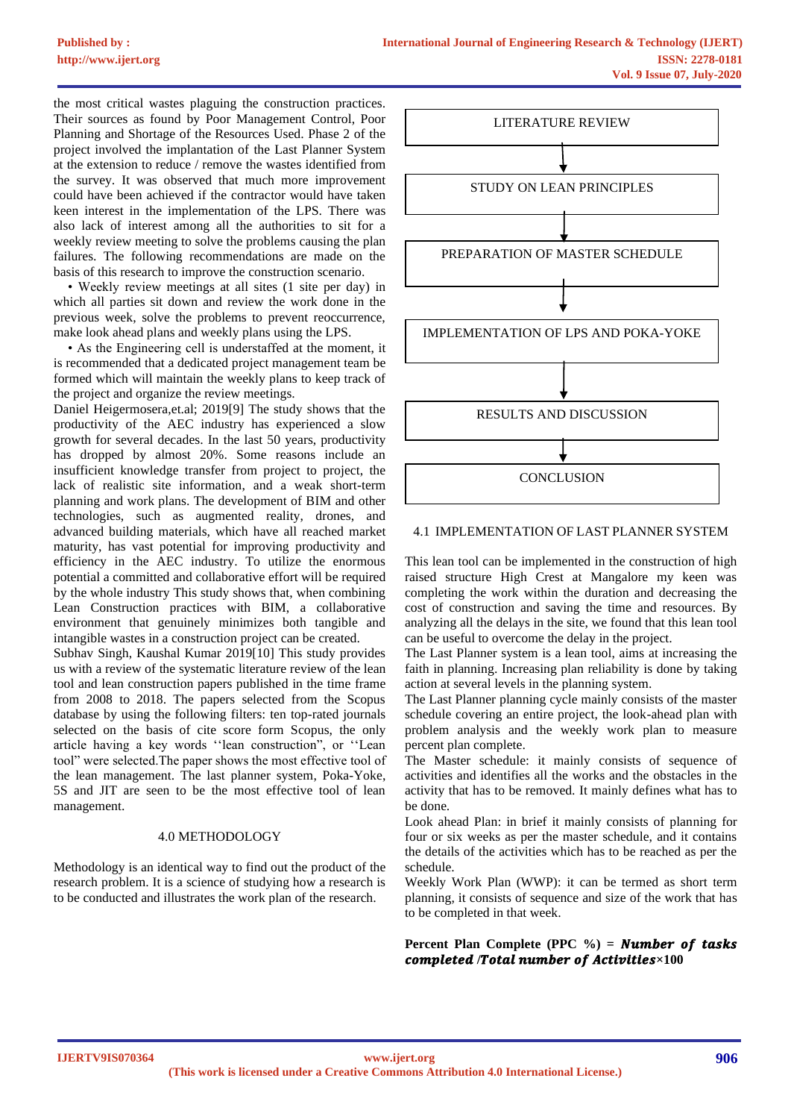the most critical wastes plaguing the construction practices. Their sources as found by Poor Management Control, Poor Planning and Shortage of the Resources Used. Phase 2 of the project involved the implantation of the Last Planner System at the extension to reduce / remove the wastes identified from the survey. It was observed that much more improvement could have been achieved if the contractor would have taken keen interest in the implementation of the LPS. There was also lack of interest among all the authorities to sit for a weekly review meeting to solve the problems causing the plan failures. The following recommendations are made on the basis of this research to improve the construction scenario.

• Weekly review meetings at all sites (1 site per day) in which all parties sit down and review the work done in the previous week, solve the problems to prevent reoccurrence, make look ahead plans and weekly plans using the LPS.

• As the Engineering cell is understaffed at the moment, it is recommended that a dedicated project management team be formed which will maintain the weekly plans to keep track of the project and organize the review meetings.

Daniel Heigermosera,et.al; 2019[9] The study shows that the productivity of the AEC industry has experienced a slow growth for several decades. In the last 50 years, productivity has dropped by almost 20%. Some reasons include an insufficient knowledge transfer from project to project, the lack of realistic site information, and a weak short-term planning and work plans. The development of BIM and other technologies, such as augmented reality, drones, and advanced building materials, which have all reached market maturity, has vast potential for improving productivity and efficiency in the AEC industry. To utilize the enormous potential a committed and collaborative effort will be required by the whole industry This study shows that, when combining Lean Construction practices with BIM, a collaborative environment that genuinely minimizes both tangible and intangible wastes in a construction project can be created.

Subhav Singh, Kaushal Kumar 2019[10] This study provides us with a review of the systematic literature review of the lean tool and lean construction papers published in the time frame from 2008 to 2018. The papers selected from the Scopus database by using the following filters: ten top-rated journals selected on the basis of cite score form Scopus, the only article having a key words ''lean construction", or ''Lean tool" were selected.The paper shows the most effective tool of the lean management. The last planner system, Poka-Yoke, 5S and JIT are seen to be the most effective tool of lean management.

#### 4.0 METHODOLOGY

Methodology is an identical way to find out the product of the research problem. It is a science of studying how a research is to be conducted and illustrates the work plan of the research.



#### 4.1 IMPLEMENTATION OF LAST PLANNER SYSTEM

This lean tool can be implemented in the construction of high raised structure High Crest at Mangalore my keen was completing the work within the duration and decreasing the cost of construction and saving the time and resources. By analyzing all the delays in the site, we found that this lean tool can be useful to overcome the delay in the project.

The Last Planner system is a lean tool, aims at increasing the faith in planning. Increasing plan reliability is done by taking action at several levels in the planning system.

The Last Planner planning cycle mainly consists of the master schedule covering an entire project, the look-ahead plan with problem analysis and the weekly work plan to measure percent plan complete.

The Master schedule: it mainly consists of sequence of activities and identifies all the works and the obstacles in the activity that has to be removed. It mainly defines what has to be done.

Look ahead Plan: in brief it mainly consists of planning for four or six weeks as per the master schedule, and it contains the details of the activities which has to be reached as per the schedule.

Weekly Work Plan (WWP): it can be termed as short term planning, it consists of sequence and size of the work that has to be completed in that week.

#### **Percent Plan Complete (PPC %) = <b>Number of tasks** completed /Total number of Activities $\times 100$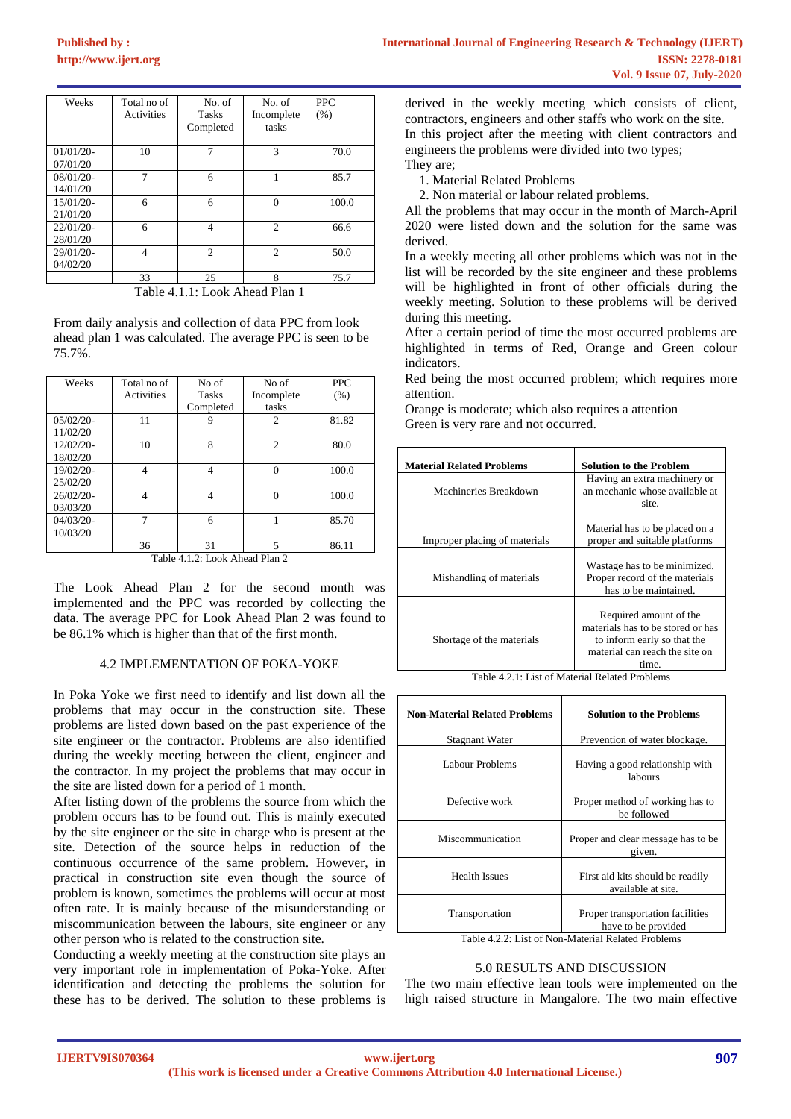| Weeks                    | Total no of<br><b>Activities</b> | No. of<br><b>Tasks</b><br>Completed | No. of<br>Incomplete<br>tasks | <b>PPC</b><br>(% ) |
|--------------------------|----------------------------------|-------------------------------------|-------------------------------|--------------------|
| $01/01/20$ -<br>07/01/20 | 10                               | $\mathcal{I}$                       | 3                             | 70.0               |
| $08/01/20$ -<br>14/01/20 | 7                                | 6                                   |                               | 85.7               |
| $15/01/20$ -<br>21/01/20 | 6                                | 6                                   | $\Omega$                      | 100.0              |
| 22/01/20-<br>28/01/20    | 6                                | $\overline{4}$                      | $\mathfrak{D}$                | 66.6               |
| 29/01/20-<br>04/02/20    | 4                                | $\mathfrak{D}$                      | $\mathfrak{D}$                | 50.0               |
|                          | 33                               | 25                                  | 8                             | 75.7               |

Table 4.1.1: Look Ahead Plan 1

From daily analysis and collection of data PPC from look ahead plan 1 was calculated. The average PPC is seen to be 75.7%.

| Weeks                          | Total no of       | No of        | No of          | <b>PPC</b> |
|--------------------------------|-------------------|--------------|----------------|------------|
|                                | <b>Activities</b> | <b>Tasks</b> | Incomplete     | (% )       |
|                                |                   | Completed    | tasks          |            |
| $05/02/20$ -                   | 11                |              | 2              | 81.82      |
| 11/02/20                       |                   |              |                |            |
| $12/02/20$ -                   | 10                | 8            | $\mathfrak{2}$ | 80.0       |
| 18/02/20                       |                   |              |                |            |
| 19/02/20-                      | $\overline{4}$    | 4            | $\theta$       | 100.0      |
| 25/02/20                       |                   |              |                |            |
| $26/02/20$ -                   | $\overline{4}$    | 4            | $\Omega$       | 100.0      |
| 03/03/20                       |                   |              |                |            |
| $04/03/20-$                    | 7                 | 6            |                | 85.70      |
| 10/03/20                       |                   |              |                |            |
|                                | 36                | 31           | 5              | 86.11      |
| Table 4.1.2: Look Ahead Plan 2 |                   |              |                |            |

The Look Ahead Plan 2 for the second month was implemented and the PPC was recorded by collecting the data. The average PPC for Look Ahead Plan 2 was found to be 86.1% which is higher than that of the first month.

## 4.2 IMPLEMENTATION OF POKA-YOKE

In Poka Yoke we first need to identify and list down all the problems that may occur in the construction site. These problems are listed down based on the past experience of the site engineer or the contractor. Problems are also identified during the weekly meeting between the client, engineer and the contractor. In my project the problems that may occur in the site are listed down for a period of 1 month.

After listing down of the problems the source from which the problem occurs has to be found out. This is mainly executed by the site engineer or the site in charge who is present at the site. Detection of the source helps in reduction of the continuous occurrence of the same problem. However, in practical in construction site even though the source of problem is known, sometimes the problems will occur at most often rate. It is mainly because of the misunderstanding or miscommunication between the labours, site engineer or any other person who is related to the construction site.

Conducting a weekly meeting at the construction site plays an very important role in implementation of Poka-Yoke. After identification and detecting the problems the solution for these has to be derived. The solution to these problems is

derived in the weekly meeting which consists of client, contractors, engineers and other staffs who work on the site. In this project after the meeting with client contractors and engineers the problems were divided into two types; They are;

1. Material Related Problems

2. Non material or labour related problems.

All the problems that may occur in the month of March-April 2020 were listed down and the solution for the same was derived.

In a weekly meeting all other problems which was not in the list will be recorded by the site engineer and these problems will be highlighted in front of other officials during the weekly meeting. Solution to these problems will be derived during this meeting.

After a certain period of time the most occurred problems are highlighted in terms of Red, Orange and Green colour indicators.

Red being the most occurred problem; which requires more attention.

Orange is moderate; which also requires a attention Green is very rare and not occurred.

| <b>Material Related Problems</b> | <b>Solution to the Problem</b>                                                                                                        |  |
|----------------------------------|---------------------------------------------------------------------------------------------------------------------------------------|--|
| Machineries Breakdown            | Having an extra machinery or<br>an mechanic whose available at<br>site.                                                               |  |
| Improper placing of materials    | Material has to be placed on a<br>proper and suitable platforms                                                                       |  |
| Mishandling of materials         | Wastage has to be minimized.<br>Proper record of the materials<br>has to be maintained.                                               |  |
| Shortage of the materials        | Required amount of the<br>materials has to be stored or has<br>to inform early so that the<br>material can reach the site on<br>time. |  |

Table 4.2.1: List of Material Related Problems

| <b>Non-Material Related Problems</b> | <b>Solution to the Problems</b>                         |  |
|--------------------------------------|---------------------------------------------------------|--|
| Stagnant Water                       | Prevention of water blockage.                           |  |
| Labour Problems                      | Having a good relationship with<br>labours              |  |
| Defective work                       | Proper method of working has to<br>be followed          |  |
| Miscommunication                     | Proper and clear message has to be<br>given.            |  |
| <b>Health Issues</b>                 | First aid kits should be readily<br>available at site.  |  |
| Transportation                       | Proper transportation facilities<br>have to be provided |  |

Table 4.2.2: List of Non-Material Related Problems

## 5.0 RESULTS AND DISCUSSION

The two main effective lean tools were implemented on the high raised structure in Mangalore. The two main effective